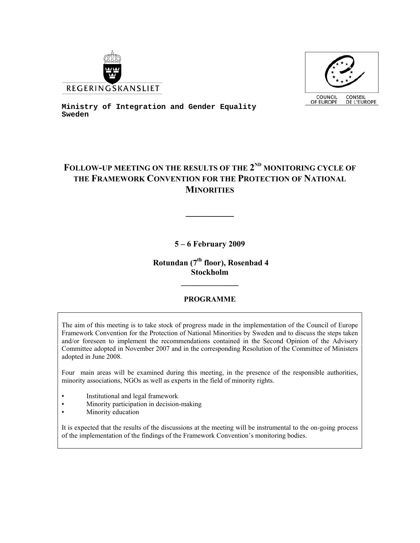



**Ministry of Integration and Gender Equality Sweden** 

# FOLLOW-UP MEETING ON THE RESULTS OF THE 2<sup>ND</sup> MONITORING CYCLE OF **THE FRAMEWORK CONVENTION FOR THE PROTECTION OF NATIONAL MINORITIES**

**5 – 6 February 2009** 

 **Rotundan (7th floor), Rosenbad 4 Stockholm** 

**\_\_\_\_\_\_\_\_\_\_\_\_\_\_** 

# **PROGRAMME**

The aim of this meeting is to take stock of progress made in the implementation of the Council of Europe Framework Convention for the Protection of National Minorities by Sweden and to discuss the steps taken and/or foreseen to implement the recommendations contained in the Second Opinion of the Advisory Committee adopted in November 2007 and in the corresponding Resolution of the Committee of Ministers adopted in June 2008.

Four main areas will be examined during this meeting, in the presence of the responsible authorities, minority associations, NGOs as well as experts in the field of minority rights.

- Institutional and legal framework
- Minority participation in decision-making
- Minority education

It is expected that the results of the discussions at the meeting will be instrumental to the on-going process of the implementation of the findings of the Framework Convention's monitoring bodies.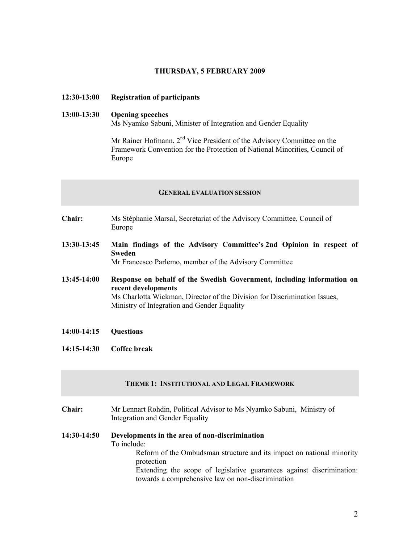#### **THURSDAY, 5 FEBRUARY 2009**

#### **12:30-13:00 Registration of participants**

# **13:00-13:30 Opening speeches**  Ms Nyamko Sabuni, Minister of Integration and Gender Equality

Mr Rainer Hofmann,  $2<sup>nd</sup>$  Vice President of the Advisory Committee on the Framework Convention for the Protection of National Minorities, Council of Europe

#### **GENERAL EVALUATION SESSION**

- **Chair:** Ms Stéphanie Marsal, Secretariat of the Advisory Committee, Council of Europe
- **13:30-13:45 Main findings of the Advisory Committee's 2nd Opinion in respect of Sweden**

Mr Francesco Parlemo, member of the Advisory Committee

- **13:45-14:00 Response on behalf of the Swedish Government, including information on recent developments** Ms Charlotta Wickman, Director of the Division for Discrimination Issues, Ministry of Integration and Gender Equality
- **14:00-14:15 Questions**
- **14:15-14:30 Coffee break**

# **THEME 1: INSTITUTIONAL AND LEGAL FRAMEWORK**

**Chair:** Mr Lennart Rohdin, Political Advisor to Ms Nyamko Sabuni, Ministry of Integration and Gender Equality

# **14:30-14:50 Developments in the area of non-discrimination**  To include: Reform of the Ombudsman structure and its impact on national minority protection Extending the scope of legislative guarantees against discrimination: towards a comprehensive law on non-discrimination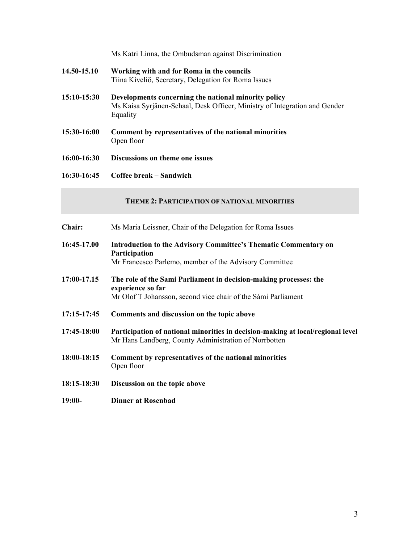- **14.50-15.10 Working with and for Roma in the councils**  Tiina Kiveliö, Secretary, Delegation for Roma Issues
- **15:10-15:30 Developments concerning the national minority policy**  Ms Kaisa Syrjänen-Schaal, Desk Officer, Ministry of Integration and Gender Equality
- **15:30-16:00 Comment by representatives of the national minorities**  Open floor
- **16:00-16:30 Discussions on theme one issues**
- **16:30-16:45 Coffee break Sandwich**

### **THEME 2: PARTICIPATION OF NATIONAL MINORITIES**

| <b>Chair:</b> | Ms Maria Leissner, Chair of the Delegation for Roma Issues                                                                                              |
|---------------|---------------------------------------------------------------------------------------------------------------------------------------------------------|
| 16:45-17.00   | Introduction to the Advisory Committee's Thematic Commentary on<br><b>Participation</b><br>Mr Francesco Parlemo, member of the Advisory Committee       |
| 17:00-17.15   | The role of the Sami Parliament in decision-making processes: the<br>experience so far<br>Mr Olof T Johansson, second vice chair of the Sámi Parliament |
| 17:15-17:45   | Comments and discussion on the topic above                                                                                                              |
| 17:45-18:00   | Participation of national minorities in decision-making at local/regional level<br>Mr Hans Landberg, County Administration of Norrbotten                |
| 18:00-18:15   | Comment by representatives of the national minorities<br>Open floor                                                                                     |
| 18:15-18:30   | Discussion on the topic above                                                                                                                           |
| $19:00-$      | <b>Dinner at Rosenbad</b>                                                                                                                               |